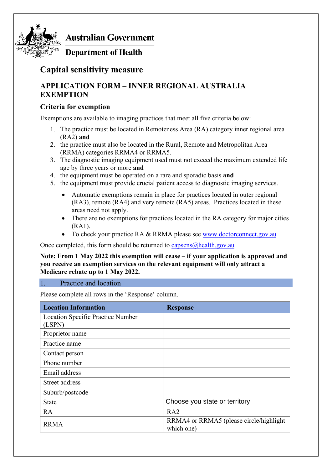

**Australian Government** 

**Department of Health** 

# **Capital sensitivity measure**

## **APPLICATION FORM – INNER REGIONAL AUSTRALIA EXEMPTION**

## **Criteria for exemption**

Exemptions are available to imaging practices that meet all five criteria below:

- 1. The practice must be located in Remoteness Area (RA) category inner regional area (RA2) **and**
- 2. the practice must also be located in the Rural, Remote and Metropolitan Area (RRMA) categories RRMA4 or RRMA5.
- 3. The diagnostic imaging equipment used must not exceed the maximum extended life age by three years or more **and**
- 4. the equipment must be operated on a rare and sporadic basis **and**
- 5. the equipment must provide crucial patient access to diagnostic imaging services.
	- Automatic exemptions remain in place for practices located in outer regional (RA3), remote (RA4) and very remote (RA5) areas. Practices located in these areas need not apply.
	- There are no exemptions for practices located in the RA category for major cities (RA1).
	- To check your practice RA & RRMA please see [www.doctorconnect.gov.au](http://www.doctorconnect.gov.au/)

Once completed, this form should be returned to  $c$ apsens $@$ health.gov.au

#### **Note: From 1 May 2022 this exemption will cease – if your application is approved and you receive an exemption services on the relevant equipment will only attract a Medicare rebate up to 1 May 2022.**

### 1. Practice and location

Please complete all rows in the 'Response' column.

| <b>Location Information</b>              | <b>Response</b>                                       |
|------------------------------------------|-------------------------------------------------------|
| <b>Location Specific Practice Number</b> |                                                       |
| (LSPN)                                   |                                                       |
| Proprietor name                          |                                                       |
| Practice name                            |                                                       |
| Contact person                           |                                                       |
| Phone number                             |                                                       |
| Email address                            |                                                       |
| Street address                           |                                                       |
| Suburb/postcode                          |                                                       |
| <b>State</b>                             | Choose you state or territory                         |
| <b>RA</b>                                | RA <sub>2</sub>                                       |
| <b>RRMA</b>                              | RRMA4 or RRMA5 (please circle/highlight<br>which one) |